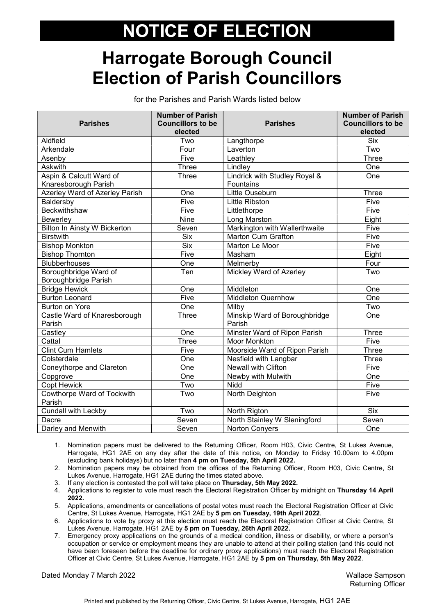# NOTICE OF ELECTION

### Harrogate Borough Council Election of Parish Councillors

for the Parishes and Parish Wards listed below

| <b>Parishes</b>                      | <b>Number of Parish</b><br><b>Councillors to be</b> | <b>Parishes</b>               | <b>Number of Parish</b><br><b>Councillors to be</b> |
|--------------------------------------|-----------------------------------------------------|-------------------------------|-----------------------------------------------------|
|                                      | elected                                             |                               | elected                                             |
| Aldfield                             | Two                                                 | Langthorpe                    | <b>Six</b>                                          |
| Arkendale                            | Four                                                | Laverton                      | Two                                                 |
| Asenby                               | Five                                                | Leathley                      | Three                                               |
| <b>Askwith</b>                       | Three                                               | Lindley                       | One                                                 |
| Aspin & Calcutt Ward of              | Three                                               | Lindrick with Studley Royal & | One                                                 |
| Knaresborough Parish                 |                                                     | Fountains                     |                                                     |
| Azerley Ward of Azerley Parish       | One                                                 | Little Ouseburn               | Three                                               |
| Baldersby                            | Five                                                | <b>Little Ribston</b>         | Five                                                |
| <b>Beckwithshaw</b>                  | Five                                                | Littlethorpe                  | Five                                                |
| Bewerley                             | <b>Nine</b>                                         | Long Marston                  | Eight                                               |
| Bilton In Ainsty W Bickerton         | Seven                                               | Markington with Wallerthwaite | Five                                                |
| <b>Birstwith</b>                     | <b>Six</b>                                          | <b>Marton Cum Grafton</b>     | Five                                                |
| <b>Bishop Monkton</b>                | <b>Six</b>                                          | Marton Le Moor                | Five                                                |
| <b>Bishop Thornton</b>               | Five                                                | Masham                        | Eight                                               |
| <b>Blubberhouses</b>                 | One                                                 | Melmerby                      | Four                                                |
| Boroughbridge Ward of                | Ten                                                 | Mickley Ward of Azerley       | Two                                                 |
| Boroughbridge Parish                 |                                                     |                               |                                                     |
| <b>Bridge Hewick</b>                 | One                                                 | Middleton                     | One                                                 |
| <b>Burton Leonard</b>                | Five                                                | <b>Middleton Quernhow</b>     | One                                                 |
| Burton on Yore                       | One                                                 | Milby                         | Two                                                 |
| Castle Ward of Knaresborough         | Three                                               | Minskip Ward of Boroughbridge | One                                                 |
| Parish                               |                                                     | Parish                        |                                                     |
| Castley                              | One                                                 | Minster Ward of Ripon Parish  | Three                                               |
| Cattal                               | <b>Three</b>                                        | <b>Moor Monkton</b>           | Five                                                |
| <b>Clint Cum Hamlets</b>             | Five                                                | Moorside Ward of Ripon Parish | <b>Three</b>                                        |
| Colsterdale                          | One                                                 | Nesfield with Langbar         | Three                                               |
| Coneythorpe and Clareton             | One                                                 | <b>Newall with Clifton</b>    | Five                                                |
| Copgrove                             | One                                                 | Newby with Mulwith            | One                                                 |
| <b>Copt Hewick</b>                   | Two                                                 | <b>Nidd</b>                   | Five                                                |
| Cowthorpe Ward of Tockwith<br>Parish | Two                                                 | North Deighton                | Five                                                |
| Cundall with Leckby                  | Two                                                 | North Rigton                  | <b>Six</b>                                          |
| Dacre                                | Seven                                               | North Stainley W Sleningford  | Seven                                               |
| Darley and Menwith                   | Seven                                               | <b>Norton Convers</b>         | One                                                 |

1. Nomination papers must be delivered to the Returning Officer, Room H03, Civic Centre, St Lukes Avenue, Harrogate, HG1 2AE on any day after the date of this notice, on Monday to Friday 10.00am to 4.00pm (excluding bank holidays) but no later than 4 pm on Tuesday, 5th April 2022.

2. Nomination papers may be obtained from the offices of the Returning Officer, Room H03, Civic Centre, St Lukes Avenue, Harrogate, HG1 2AE during the times stated above.

3. If any election is contested the poll will take place on Thursday, 5th May 2022.

4. Applications to register to vote must reach the Electoral Registration Officer by midnight on Thursday 14 April 2022.

5. Applications, amendments or cancellations of postal votes must reach the Electoral Registration Officer at Civic Centre, St Lukes Avenue, Harrogate, HG1 2AE by 5 pm on Tuesday, 19th April 2022.

6. Applications to vote by proxy at this election must reach the Electoral Registration Officer at Civic Centre, St Lukes Avenue, Harrogate, HG1 2AE by 5 pm on Tuesday, 26th April 2022.

7. Emergency proxy applications on the grounds of a medical condition, illness or disability, or where a person's occupation or service or employment means they are unable to attend at their polling station (and this could not have been foreseen before the deadline for ordinary proxy applications) must reach the Electoral Registration Officer at Civic Centre, St Lukes Avenue, Harrogate, HG1 2AE by 5 pm on Thursday, 5th May 2022.

Dated Monday 7 March 2022 Wallace Sampson

Returning Officer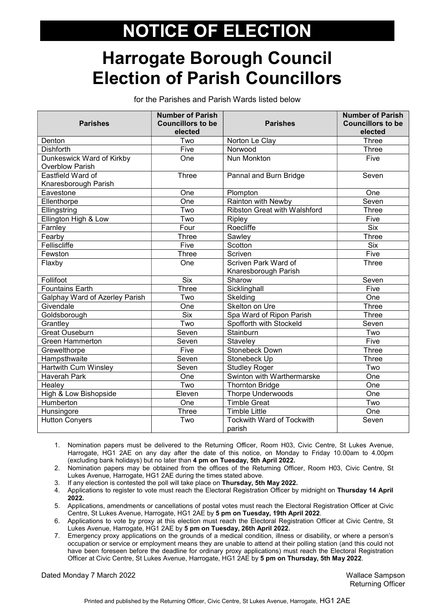# NOTICE OF ELECTION

### Harrogate Borough Council Election of Parish Councillors

for the Parishes and Parish Wards listed below

| <b>Parishes</b>                | <b>Number of Parish</b><br><b>Councillors to be</b> | <b>Parishes</b>                            | <b>Number of Parish</b><br><b>Councillors to be</b> |
|--------------------------------|-----------------------------------------------------|--------------------------------------------|-----------------------------------------------------|
|                                | elected                                             |                                            | elected                                             |
| Denton                         | Two                                                 | Norton Le Clay                             | Three                                               |
| <b>Dishforth</b>               | Five                                                | Norwood                                    | Three                                               |
| Dunkeswick Ward of Kirkby      | One                                                 | <b>Nun Monkton</b>                         | Five                                                |
| <b>Overblow Parish</b>         |                                                     |                                            |                                                     |
| Eastfield Ward of              | Three                                               | Pannal and Burn Bridge                     | Seven                                               |
| Knaresborough Parish           |                                                     |                                            |                                                     |
| Eavestone                      | One                                                 | Plompton                                   | One                                                 |
| Ellenthorpe                    | One                                                 | Rainton with Newby                         | Seven                                               |
| Ellingstring                   | Two                                                 | <b>Ribston Great with Walshford</b>        | <b>Three</b>                                        |
| Ellington High & Low           | Two                                                 | Ripley                                     | Five                                                |
| Farnley                        | Four                                                | Roecliffe                                  | <b>Six</b>                                          |
| Fearby                         | Three                                               | Sawley                                     | Three                                               |
| Felliscliffe                   | Five                                                | Scotton                                    | <b>Six</b>                                          |
| Fewston                        | Three                                               | Scriven                                    | Five                                                |
| Flaxby                         | One                                                 | Scriven Park Ward of                       | <b>Three</b>                                        |
|                                |                                                     | Knaresborough Parish                       |                                                     |
| Follifoot                      | <b>Six</b>                                          | Sharow                                     | Seven                                               |
| <b>Fountains Earth</b>         | Three                                               | Sicklinghall                               | Five                                                |
| Galphay Ward of Azerley Parish | Two                                                 | Skelding                                   | One                                                 |
| Givendale                      | One                                                 | Skelton on Ure                             | <b>Three</b>                                        |
| Goldsborough                   | <b>Six</b>                                          | Spa Ward of Ripon Parish                   | <b>Three</b>                                        |
| Grantley                       | Two                                                 | Spofforth with Stockeld                    | Seven                                               |
| <b>Great Ouseburn</b>          | Seven                                               | Stainburn                                  | Two                                                 |
| <b>Green Hammerton</b>         | Seven                                               | Staveley                                   | Five                                                |
| Grewelthorpe                   | Five                                                | Stonebeck Down                             | Three                                               |
| Hampsthwaite                   | Seven                                               | Stonebeck Up                               | Three                                               |
| <b>Hartwith Cum Winsley</b>    | Seven                                               | <b>Studley Roger</b>                       | Two                                                 |
| <b>Haverah Park</b>            | One                                                 | Swinton with Warthermarske                 | One                                                 |
| Healey                         | Two                                                 | <b>Thornton Bridge</b>                     | One                                                 |
| High & Low Bishopside          | Eleven                                              | <b>Thorpe Underwoods</b>                   | One                                                 |
| Humberton                      | One                                                 | <b>Timble Great</b>                        | Two                                                 |
| Hunsingore                     | <b>Three</b>                                        | <b>Timble Little</b>                       | One                                                 |
| <b>Hutton Conyers</b>          | Two                                                 | <b>Tockwith Ward of Tockwith</b><br>parish | Seven                                               |

1. Nomination papers must be delivered to the Returning Officer, Room H03, Civic Centre, St Lukes Avenue, Harrogate, HG1 2AE on any day after the date of this notice, on Monday to Friday 10.00am to 4.00pm (excluding bank holidays) but no later than 4 pm on Tuesday, 5th April 2022.

2. Nomination papers may be obtained from the offices of the Returning Officer, Room H03, Civic Centre, St Lukes Avenue, Harrogate, HG1 2AE during the times stated above.

3. If any election is contested the poll will take place on Thursday, 5th May 2022.

4. Applications to register to vote must reach the Electoral Registration Officer by midnight on Thursday 14 April 2022.

5. Applications, amendments or cancellations of postal votes must reach the Electoral Registration Officer at Civic Centre, St Lukes Avenue, Harrogate, HG1 2AE by 5 pm on Tuesday, 19th April 2022.

6. Applications to vote by proxy at this election must reach the Electoral Registration Officer at Civic Centre, St Lukes Avenue, Harrogate, HG1 2AE by 5 pm on Tuesday, 26th April 2022.

7. Emergency proxy applications on the grounds of a medical condition, illness or disability, or where a person's occupation or service or employment means they are unable to attend at their polling station (and this could not have been foreseen before the deadline for ordinary proxy applications) must reach the Electoral Registration Officer at Civic Centre, St Lukes Avenue, Harrogate, HG1 2AE by 5 pm on Thursday, 5th May 2022.

Dated Monday 7 March 2022 Wallace Sampson

Returning Officer